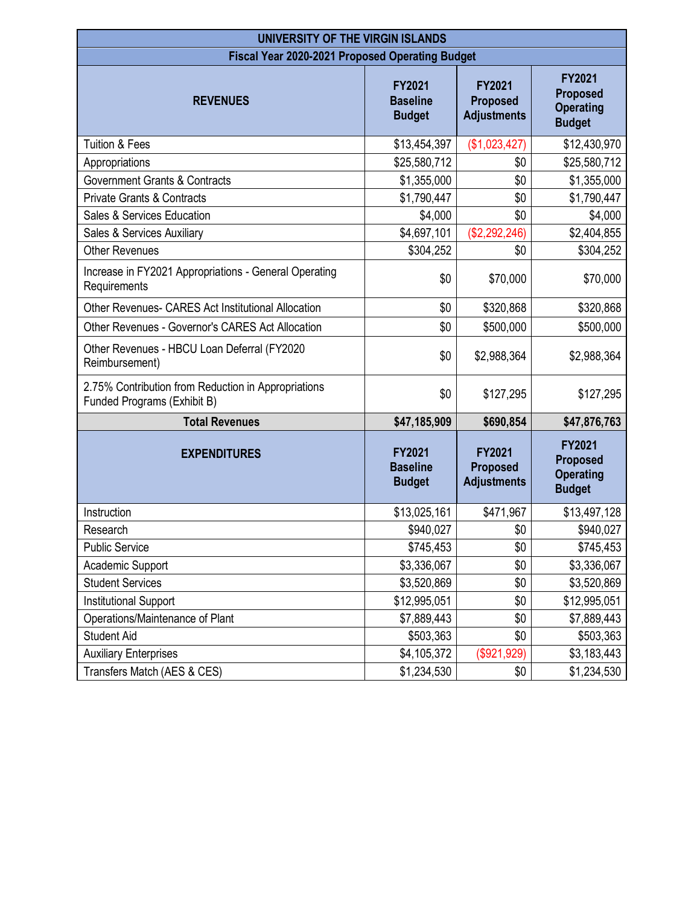| UNIVERSITY OF THE VIRGIN ISLANDS                                                   |                                                   |                                                        |                                                                       |  |  |
|------------------------------------------------------------------------------------|---------------------------------------------------|--------------------------------------------------------|-----------------------------------------------------------------------|--|--|
| <b>Fiscal Year 2020-2021 Proposed Operating Budget</b>                             |                                                   |                                                        |                                                                       |  |  |
| <b>REVENUES</b>                                                                    | <b>FY2021</b><br><b>Baseline</b><br><b>Budget</b> | <b>FY2021</b><br><b>Proposed</b><br><b>Adjustments</b> | <b>FY2021</b><br><b>Proposed</b><br><b>Operating</b><br><b>Budget</b> |  |  |
| Tuition & Fees                                                                     | \$13,454,397                                      | (\$1,023,427)                                          | \$12,430,970                                                          |  |  |
| Appropriations                                                                     | \$25,580,712                                      | \$0                                                    | \$25,580,712                                                          |  |  |
| <b>Government Grants &amp; Contracts</b>                                           | \$1,355,000                                       | \$0                                                    | \$1,355,000                                                           |  |  |
| <b>Private Grants &amp; Contracts</b>                                              | \$1,790,447                                       | \$0                                                    | \$1,790,447                                                           |  |  |
| Sales & Services Education                                                         | \$4,000                                           | \$0                                                    | \$4,000                                                               |  |  |
| Sales & Services Auxiliary                                                         | \$4,697,101                                       | (\$2,292,246)                                          | \$2,404,855                                                           |  |  |
| <b>Other Revenues</b>                                                              | \$304,252                                         | \$0                                                    | \$304,252                                                             |  |  |
| Increase in FY2021 Appropriations - General Operating<br>Requirements              | \$0                                               | \$70,000                                               | \$70,000                                                              |  |  |
| Other Revenues- CARES Act Institutional Allocation                                 | \$0                                               | \$320,868                                              | \$320,868                                                             |  |  |
| Other Revenues - Governor's CARES Act Allocation                                   | \$0                                               | \$500,000                                              | \$500,000                                                             |  |  |
| Other Revenues - HBCU Loan Deferral (FY2020<br>Reimbursement)                      | \$0                                               | \$2,988,364                                            | \$2,988,364                                                           |  |  |
| 2.75% Contribution from Reduction in Appropriations<br>Funded Programs (Exhibit B) | \$0                                               | \$127,295                                              | \$127,295                                                             |  |  |
| <b>Total Revenues</b>                                                              | \$47,185,909                                      | \$690,854                                              | \$47,876,763                                                          |  |  |
| <b>EXPENDITURES</b>                                                                | <b>FY2021</b><br><b>Baseline</b><br><b>Budget</b> | <b>FY2021</b><br><b>Proposed</b><br><b>Adjustments</b> | <b>FY2021</b><br><b>Proposed</b><br><b>Operating</b><br><b>Budget</b> |  |  |
| Instruction                                                                        | \$13,025,161                                      | \$471,967                                              | \$13,497,128                                                          |  |  |
| Research                                                                           | \$940,027                                         | \$0                                                    | \$940,027                                                             |  |  |
| <b>Public Service</b>                                                              | \$745,453                                         | \$0                                                    | \$745,453                                                             |  |  |
| Academic Support                                                                   | \$3,336,067                                       | \$0                                                    | \$3,336,067                                                           |  |  |
| <b>Student Services</b>                                                            | \$3,520,869                                       | \$0                                                    | \$3,520,869                                                           |  |  |
| <b>Institutional Support</b>                                                       | \$12,995,051                                      | \$0                                                    | \$12,995,051                                                          |  |  |
| Operations/Maintenance of Plant                                                    | \$7,889,443                                       | \$0                                                    | \$7,889,443                                                           |  |  |
| <b>Student Aid</b>                                                                 | \$503,363                                         | \$0                                                    | \$503,363                                                             |  |  |
| <b>Auxiliary Enterprises</b>                                                       | \$4,105,372                                       | (\$921,929)                                            | \$3,183,443                                                           |  |  |
| Transfers Match (AES & CES)                                                        | \$1,234,530                                       | \$0                                                    | \$1,234,530                                                           |  |  |